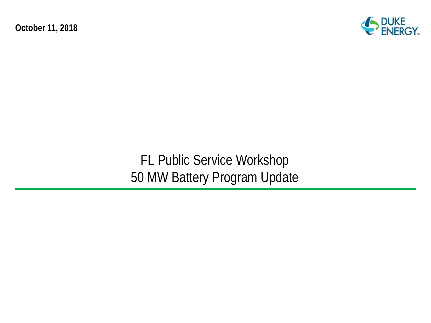**October 11, 2018**



FL Public Service Workshop 50 MW Battery Program Update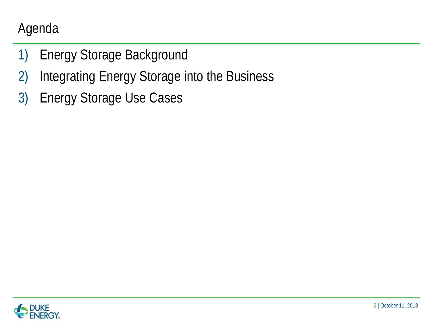# Agenda

- 1) Energy Storage Background
- 2) Integrating Energy Storage into the Business
- 3) Energy Storage Use Cases

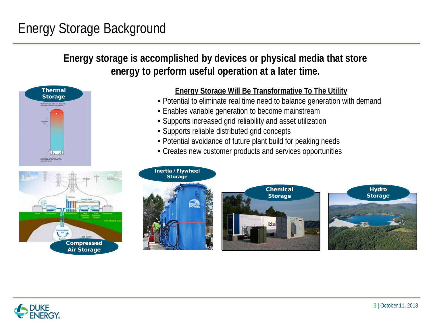# Energy Storage Background

#### **Energy storage is accomplished by devices or physical media that store energy to perform useful operation at a later time.**





#### **Energy Storage Will Be Transformative To The Utility**

- Potential to eliminate real time need to balance generation with demand
- Enables variable generation to become mainstream
- Supports increased grid reliability and asset utilization
- Supports reliable distributed grid concepts
- Potential avoidance of future plant build for peaking needs
- Creates new customer products and services opportunities



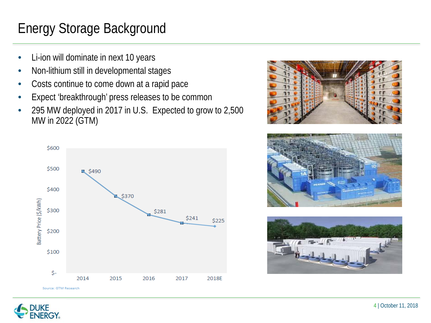# Energy Storage Background

- Li-ion will dominate in next 10 years
- Non-lithium still in developmental stages
- Costs continue to come down at a rapid pace
- Expect 'breakthrough' press releases to be common
- 295 MW deployed in 2017 in U.S. Expected to grow to 2,500 MW in 2022 (GTM)



![](_page_3_Picture_7.jpeg)

![](_page_3_Picture_8.jpeg)

![](_page_3_Picture_9.jpeg)

![](_page_3_Picture_10.jpeg)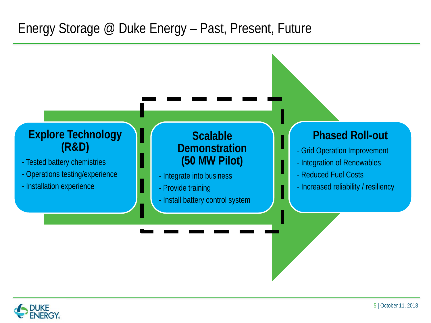#### Energy Storage @ Duke Energy – Past, Present, Future

![](_page_4_Figure_1.jpeg)

![](_page_4_Picture_2.jpeg)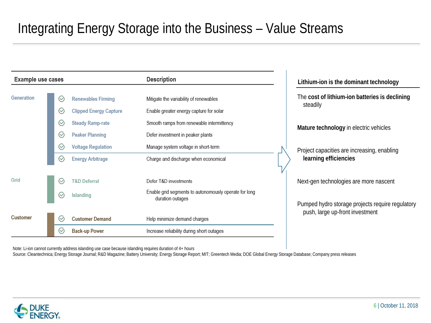# Integrating Energy Storage into the Business – Value Streams

| <b>Example use cases</b> |                    |                               | <b>Description</b>                                                        |  | Lithium-ion is the dominant technology                                              |  |
|--------------------------|--------------------|-------------------------------|---------------------------------------------------------------------------|--|-------------------------------------------------------------------------------------|--|
| Generation               | ⊙                  | <b>Renewables Firming</b>     | Mitigate the variability of renewables                                    |  | The cost of lithium-ion batteries is declining                                      |  |
|                          | $(\vee$            | <b>Clipped Energy Capture</b> | Enable greater energy capture for solar                                   |  | steadily                                                                            |  |
|                          | $\oslash$          | <b>Steady Ramp-rate</b>       | Smooth ramps from renewable intermittency                                 |  | Mature technology in electric vehicles                                              |  |
|                          | $\mathcal Q$       | <b>Peaker Planning</b>        | Defer investment in peaker plants                                         |  |                                                                                     |  |
|                          | $\varpi$           | <b>Voltage Regulation</b>     | Manage system voltage in short-term                                       |  | Project capacities are increasing, enabling                                         |  |
|                          | $\oslash$          | <b>Energy Arbitrage</b>       | Charge and discharge when economical                                      |  | learning efficiencies                                                               |  |
| Grid                     | $\circlearrowleft$ | <b>T&amp;D Deferral</b>       | Defer T&D investments                                                     |  | Next-gen technologies are more nascent                                              |  |
|                          | $\curvearrowright$ | <b>Islanding</b>              | Enable grid segments to autonomously operate for long<br>duration outages |  |                                                                                     |  |
|                          |                    |                               |                                                                           |  | Pumped hydro storage projects require regulatory<br>push, large up-front investment |  |
| <b>Customer</b>          | $(\vee$            | <b>Customer Demand</b>        | Help minimize demand charges                                              |  |                                                                                     |  |
|                          | $\curvearrowright$ | <b>Back-up Power</b>          | Increase reliability during short outages                                 |  |                                                                                     |  |

Note: Li-ion cannot currently address islanding use case because islanding requires duration of 4+ hours

Source: Cleantechnica; Energy Storage Journal; R&D Magazine; Battery University; Energy Storage Report; MIT; Greentech Media; DOE Global Energy Storage Database; Company press releases

![](_page_5_Picture_4.jpeg)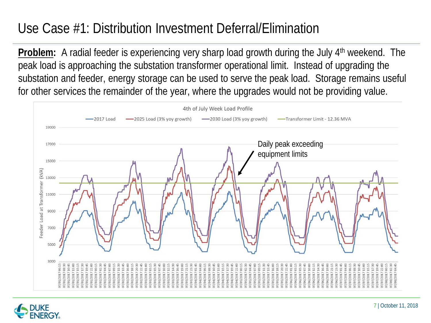## Use Case #1: Distribution Investment Deferral/Elimination

**Problem:** A radial feeder is experiencing very sharp load growth during the July 4<sup>th</sup> weekend. The peak load is approaching the substation transformer operational limit. Instead of upgrading the substation and feeder, energy storage can be used to serve the peak load. Storage remains useful for other services the remainder of the year, where the upgrades would not be providing value.

![](_page_6_Figure_2.jpeg)

![](_page_6_Picture_3.jpeg)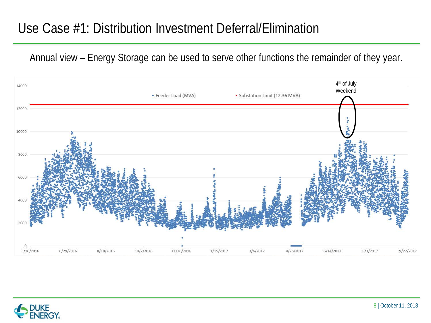#### Use Case #1: Distribution Investment Deferral/Elimination

Annual view – Energy Storage can be used to serve other functions the remainder of they year.

![](_page_7_Figure_2.jpeg)

![](_page_7_Picture_3.jpeg)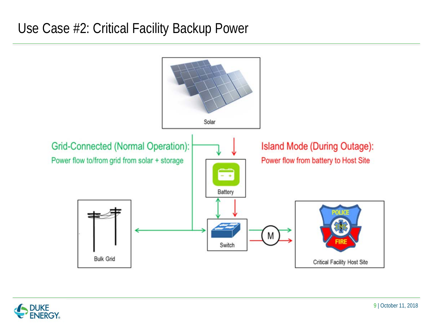#### Use Case #2: Critical Facility Backup Power

![](_page_8_Figure_1.jpeg)

![](_page_8_Picture_2.jpeg)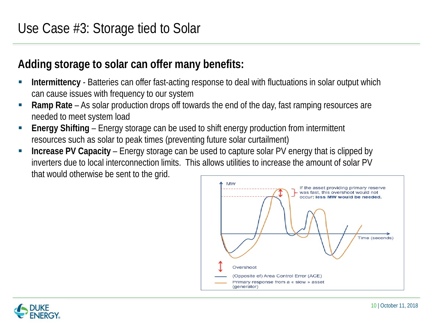#### **Adding storage to solar can offer many benefits:**

- **Intermittency** Batteries can offer fast-acting response to deal with fluctuations in solar output which can cause issues with frequency to our system
- **Ramp Rate**  As solar production drops off towards the end of the day, fast ramping resources are needed to meet system load
- **Energy Shifting**  Energy storage can be used to shift energy production from intermittent resources such as solar to peak times (preventing future solar curtailment)
- **Increase PV Capacity**  Energy storage can be used to capture solar PV energy that is clipped by inverters due to local interconnection limits. This allows utilities to increase the amount of solar PV that would otherwise be sent to the grid.

![](_page_9_Figure_6.jpeg)

![](_page_9_Picture_7.jpeg)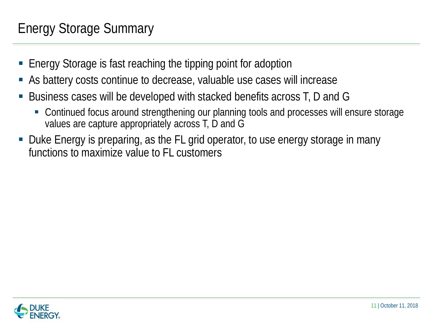## Energy Storage Summary

- Energy Storage is fast reaching the tipping point for adoption
- As battery costs continue to decrease, valuable use cases will increase
- Business cases will be developed with stacked benefits across T, D and G
	- Continued focus around strengthening our planning tools and processes will ensure storage values are capture appropriately across T, D and G
- Duke Energy is preparing, as the FL grid operator, to use energy storage in many functions to maximize value to FL customers

![](_page_10_Picture_6.jpeg)